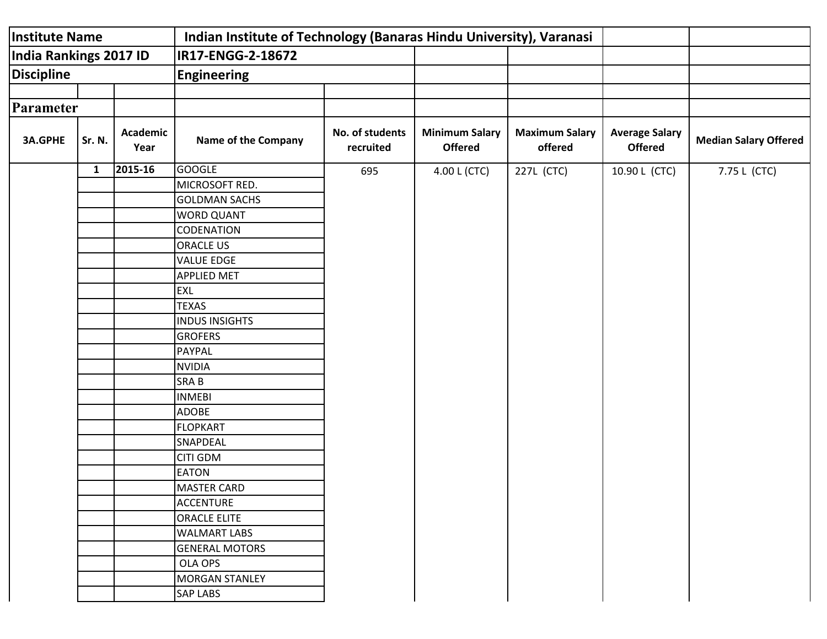| <b>Institute Name</b>         |              |                  | Indian Institute of Technology (Banaras Hindu University), Varanasi |                              |                                         |                                  |                                         |                              |
|-------------------------------|--------------|------------------|---------------------------------------------------------------------|------------------------------|-----------------------------------------|----------------------------------|-----------------------------------------|------------------------------|
| <b>India Rankings 2017 ID</b> |              |                  | IR17-ENGG-2-18672                                                   |                              |                                         |                                  |                                         |                              |
| <b>Discipline</b>             |              |                  | <b>Engineering</b>                                                  |                              |                                         |                                  |                                         |                              |
|                               |              |                  |                                                                     |                              |                                         |                                  |                                         |                              |
| Parameter                     |              |                  |                                                                     |                              |                                         |                                  |                                         |                              |
| <b>3A.GPHE</b>                | Sr. N.       | Academic<br>Year | Name of the Company                                                 | No. of students<br>recruited | <b>Minimum Salary</b><br><b>Offered</b> | <b>Maximum Salary</b><br>offered | <b>Average Salary</b><br><b>Offered</b> | <b>Median Salary Offered</b> |
|                               | $\mathbf{1}$ | 2015-16          | <b>GOOGLE</b>                                                       | 695                          | 4.00 L (CTC)                            | 227L (CTC)                       | 10.90 L (CTC)                           | 7.75 L (CTC)                 |
|                               |              |                  | MICROSOFT RED.                                                      |                              |                                         |                                  |                                         |                              |
|                               |              |                  | <b>GOLDMAN SACHS</b>                                                |                              |                                         |                                  |                                         |                              |
|                               |              |                  | <b>WORD QUANT</b>                                                   |                              |                                         |                                  |                                         |                              |
|                               |              |                  | <b>CODENATION</b>                                                   |                              |                                         |                                  |                                         |                              |
|                               |              |                  | <b>ORACLE US</b>                                                    |                              |                                         |                                  |                                         |                              |
|                               |              |                  | <b>VALUE EDGE</b>                                                   |                              |                                         |                                  |                                         |                              |
|                               |              |                  | <b>APPLIED MET</b>                                                  |                              |                                         |                                  |                                         |                              |
|                               |              |                  | <b>EXL</b>                                                          |                              |                                         |                                  |                                         |                              |
|                               |              |                  | <b>TEXAS</b>                                                        |                              |                                         |                                  |                                         |                              |
|                               |              |                  | <b>INDUS INSIGHTS</b>                                               |                              |                                         |                                  |                                         |                              |
|                               |              |                  | <b>GROFERS</b>                                                      |                              |                                         |                                  |                                         |                              |
|                               |              |                  | PAYPAL                                                              |                              |                                         |                                  |                                         |                              |
|                               |              |                  | <b>NVIDIA</b>                                                       |                              |                                         |                                  |                                         |                              |
|                               |              |                  | SRA B                                                               |                              |                                         |                                  |                                         |                              |
|                               |              |                  | <b>INMEBI</b>                                                       |                              |                                         |                                  |                                         |                              |
|                               |              |                  | <b>ADOBE</b>                                                        |                              |                                         |                                  |                                         |                              |
|                               |              |                  | <b>FLOPKART</b>                                                     |                              |                                         |                                  |                                         |                              |
|                               |              |                  | SNAPDEAL                                                            |                              |                                         |                                  |                                         |                              |
|                               |              |                  | <b>CITI GDM</b>                                                     |                              |                                         |                                  |                                         |                              |
|                               |              |                  | <b>EATON</b>                                                        |                              |                                         |                                  |                                         |                              |
|                               |              |                  | <b>MASTER CARD</b>                                                  |                              |                                         |                                  |                                         |                              |
|                               |              |                  | <b>ACCENTURE</b>                                                    |                              |                                         |                                  |                                         |                              |
|                               |              |                  | <b>ORACLE ELITE</b>                                                 |                              |                                         |                                  |                                         |                              |
|                               |              |                  | <b>WALMART LABS</b>                                                 |                              |                                         |                                  |                                         |                              |
|                               |              |                  | <b>GENERAL MOTORS</b>                                               |                              |                                         |                                  |                                         |                              |
|                               |              |                  | OLA OPS                                                             |                              |                                         |                                  |                                         |                              |
|                               |              |                  | <b>MORGAN STANLEY</b>                                               |                              |                                         |                                  |                                         |                              |
|                               |              |                  | <b>SAP LABS</b>                                                     |                              |                                         |                                  |                                         |                              |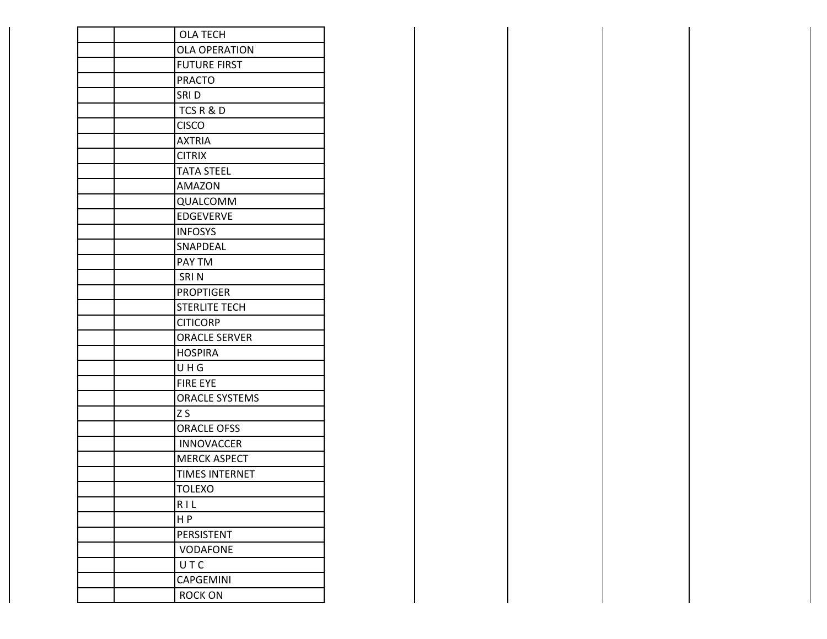| <b>OLA TECH</b>       |
|-----------------------|
| <b>OLA OPERATION</b>  |
| <b>FUTURE FIRST</b>   |
| <b>PRACTO</b>         |
| SRI <sub>D</sub>      |
| TCS R & D             |
| <b>CISCO</b>          |
| <b>AXTRIA</b>         |
| <b>CITRIX</b>         |
| <b>TATA STEEL</b>     |
| <b>AMAZON</b>         |
| QUALCOMM              |
| <b>EDGEVERVE</b>      |
| <b>INFOSYS</b>        |
| SNAPDEAL              |
| PAY TM                |
| SRIN                  |
| <b>PROPTIGER</b>      |
| <b>STERLITE TECH</b>  |
| <b>CITICORP</b>       |
| <b>ORACLE SERVER</b>  |
| <b>HOSPIRA</b>        |
| UHG                   |
| <b>FIRE EYE</b>       |
| <b>ORACLE SYSTEMS</b> |
| Z S                   |
| <b>ORACLE OFSS</b>    |
| <b>INNOVACCER</b>     |
| <b>MERCK ASPECT</b>   |
| <b>TIMES INTERNET</b> |
| <b>TOLEXO</b>         |
| RIL                   |
| HP                    |
| PERSISTENT            |
| <b>VODAFONE</b>       |
| UTC                   |
| <b>CAPGEMINI</b>      |
| <b>ROCK ON</b>        |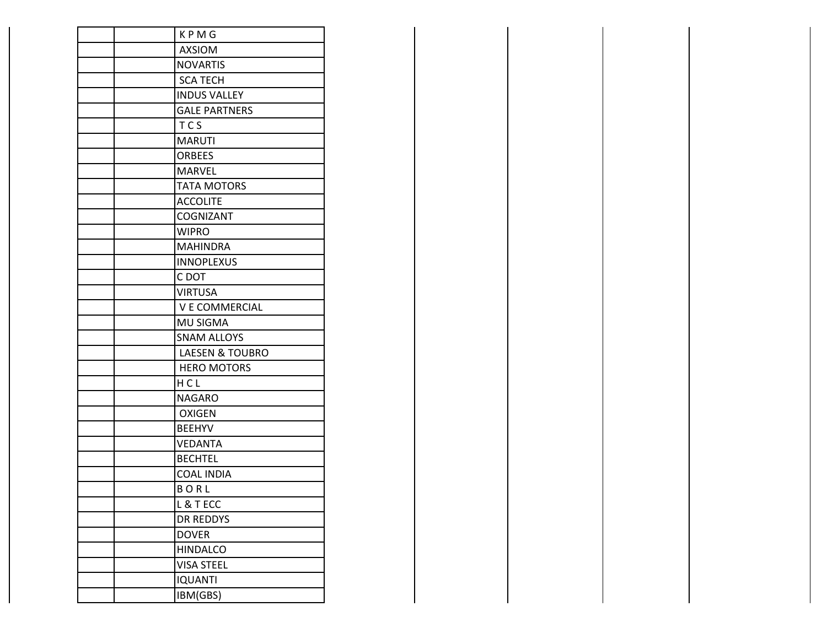|  | <b>KPMG</b>                |
|--|----------------------------|
|  | <b>AXSIOM</b>              |
|  | <b>NOVARTIS</b>            |
|  | <b>SCA TECH</b>            |
|  | <b>INDUS VALLEY</b>        |
|  | <b>GALE PARTNERS</b>       |
|  | <b>TCS</b>                 |
|  | <b>MARUTI</b>              |
|  | <b>ORBEES</b>              |
|  | <b>MARVEL</b>              |
|  | <b>TATA MOTORS</b>         |
|  | <b>ACCOLITE</b>            |
|  | COGNIZANT                  |
|  | <b>WIPRO</b>               |
|  | <b>MAHINDRA</b>            |
|  | <b>INNOPLEXUS</b>          |
|  | C DOT                      |
|  | <b>VIRTUSA</b>             |
|  | <b>V E COMMERCIAL</b>      |
|  | <b>MU SIGMA</b>            |
|  | <b>SNAM ALLOYS</b>         |
|  | <b>LAESEN &amp; TOUBRO</b> |
|  | <b>HERO MOTORS</b>         |
|  | HCL                        |
|  | <b>NAGARO</b>              |
|  | <b>OXIGEN</b>              |
|  | <b>BEEHYV</b>              |
|  | <b>VEDANTA</b>             |
|  | <b>BECHTEL</b>             |
|  | <b>COAL INDIA</b>          |
|  | BORL                       |
|  | L & T ECC                  |
|  | <b>DR REDDYS</b>           |
|  | <b>DOVER</b>               |
|  | <b>HINDALCO</b>            |
|  | <b>VISA STEEL</b>          |
|  | <b>IQUANTI</b>             |
|  | IBM(GBS)                   |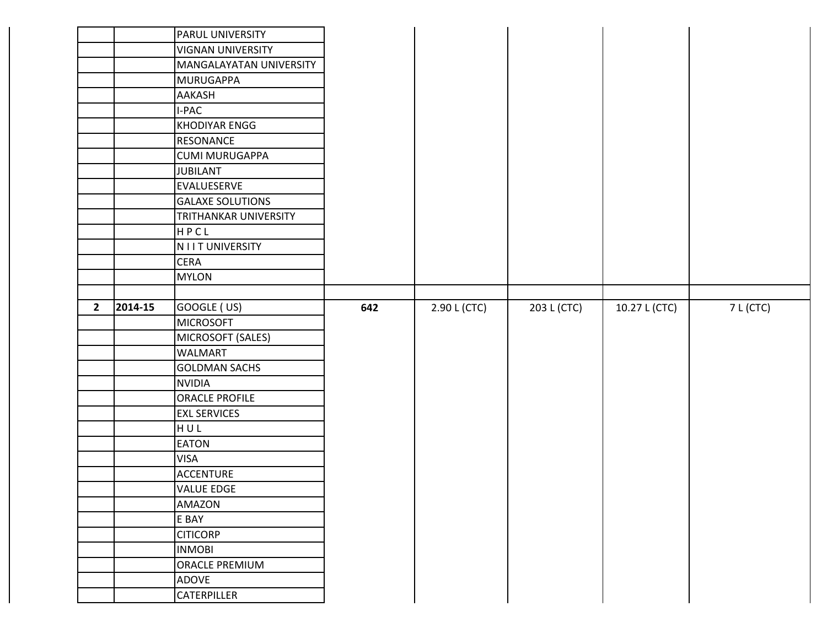|             |         | <b>PARUL UNIVERSITY</b>     |     |              |             |               |           |
|-------------|---------|-----------------------------|-----|--------------|-------------|---------------|-----------|
|             |         | <b>VIGNAN UNIVERSITY</b>    |     |              |             |               |           |
|             |         | MANGALAYATAN UNIVERSITY     |     |              |             |               |           |
|             |         | <b>MURUGAPPA</b>            |     |              |             |               |           |
|             |         | AAKASH                      |     |              |             |               |           |
|             |         | I-PAC                       |     |              |             |               |           |
|             |         | <b>KHODIYAR ENGG</b>        |     |              |             |               |           |
|             |         | <b>RESONANCE</b>            |     |              |             |               |           |
|             |         | <b>CUMI MURUGAPPA</b>       |     |              |             |               |           |
|             |         | <b>JUBILANT</b>             |     |              |             |               |           |
|             |         | EVALUESERVE                 |     |              |             |               |           |
|             |         | <b>GALAXE SOLUTIONS</b>     |     |              |             |               |           |
|             |         | TRITHANKAR UNIVERSITY       |     |              |             |               |           |
|             |         | HPCL                        |     |              |             |               |           |
|             |         | N I I T UNIVERSITY          |     |              |             |               |           |
|             |         | <b>CERA</b>                 |     |              |             |               |           |
|             |         | <b>MYLON</b>                |     |              |             |               |           |
|             |         |                             |     |              |             |               |           |
| $2^{\circ}$ | 2014-15 | GOOGLE (US)                 | 642 | 2.90 L (CTC) | 203 L (CTC) | 10.27 L (CTC) | 7 L (CTC) |
|             |         | <b>MICROSOFT</b>            |     |              |             |               |           |
|             |         |                             |     |              |             |               |           |
|             |         | MICROSOFT (SALES)           |     |              |             |               |           |
|             |         | <b>WALMART</b>              |     |              |             |               |           |
|             |         | <b>GOLDMAN SACHS</b>        |     |              |             |               |           |
|             |         | <b>NVIDIA</b>               |     |              |             |               |           |
|             |         | <b>ORACLE PROFILE</b>       |     |              |             |               |           |
|             |         | <b>EXL SERVICES</b>         |     |              |             |               |           |
|             |         | HUL                         |     |              |             |               |           |
|             |         | <b>EATON</b>                |     |              |             |               |           |
|             |         | <b>VISA</b>                 |     |              |             |               |           |
|             |         | <b>ACCENTURE</b>            |     |              |             |               |           |
|             |         | <b>VALUE EDGE</b>           |     |              |             |               |           |
|             |         | AMAZON                      |     |              |             |               |           |
|             |         | E BAY                       |     |              |             |               |           |
|             |         | <b>CITICORP</b>             |     |              |             |               |           |
|             |         | <b>INMOBI</b>               |     |              |             |               |           |
|             |         | ORACLE PREMIUM              |     |              |             |               |           |
|             |         | ADOVE<br><b>CATERPILLER</b> |     |              |             |               |           |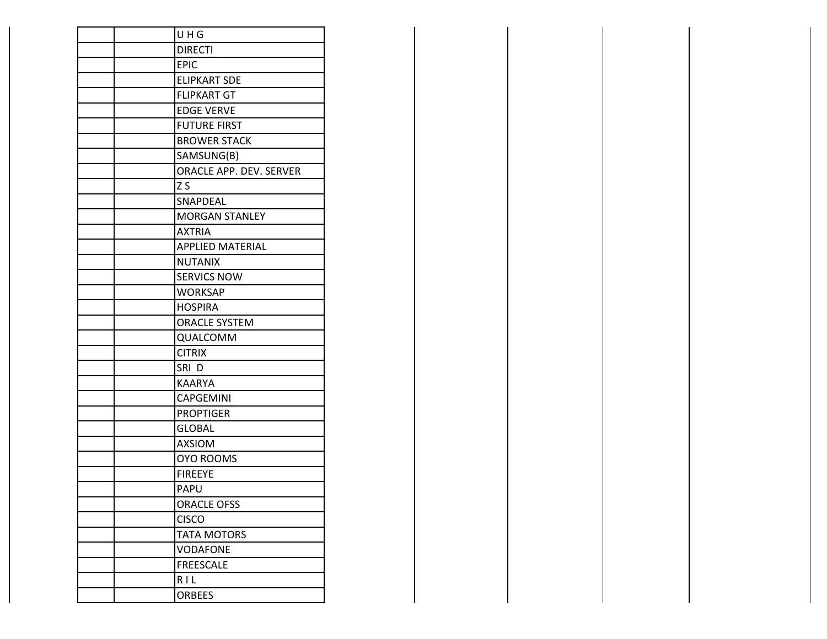|  | UHG                     |
|--|-------------------------|
|  | <b>DIRECTI</b>          |
|  | <b>EPIC</b>             |
|  | <b>ELIPKART SDE</b>     |
|  | <b>FLIPKART GT</b>      |
|  | <b>EDGE VERVE</b>       |
|  | <b>FUTURE FIRST</b>     |
|  | <b>BROWER STACK</b>     |
|  | SAMSUNG(B)              |
|  | ORACLE APP. DEV. SERVER |
|  | Z S                     |
|  | SNAPDEAL                |
|  | <b>MORGAN STANLEY</b>   |
|  | <b>AXTRIA</b>           |
|  | <b>APPLIED MATERIAL</b> |
|  | <b>NUTANIX</b>          |
|  | <b>SERVICS NOW</b>      |
|  | <b>WORKSAP</b>          |
|  | <b>HOSPIRA</b>          |
|  | <b>ORACLE SYSTEM</b>    |
|  | QUALCOMM                |
|  | <b>CITRIX</b>           |
|  | SRI D                   |
|  | <b>KAARYA</b>           |
|  | <b>CAPGEMINI</b>        |
|  | <b>PROPTIGER</b>        |
|  | <b>GLOBAL</b>           |
|  | <b>AXSIOM</b>           |
|  | <b>OYO ROOMS</b>        |
|  | <b>FIREEYE</b>          |
|  | <b>PAPU</b>             |
|  | <b>ORACLE OFSS</b>      |
|  | <b>CISCO</b>            |
|  | <b>TATA MOTORS</b>      |
|  | <b>VODAFONE</b>         |
|  | <b>FREESCALE</b>        |
|  | RIL                     |
|  | <b>ORBEES</b>           |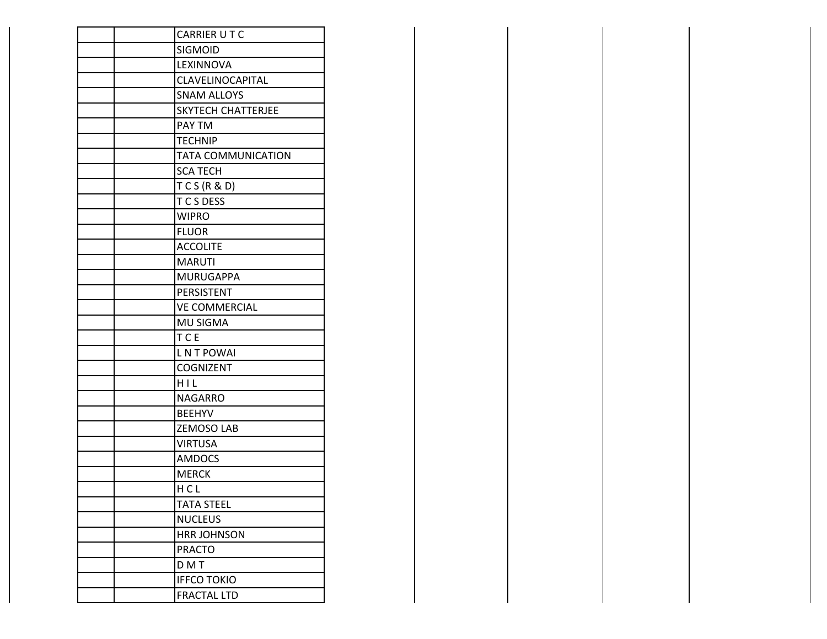|  | CARRIER UTC               |
|--|---------------------------|
|  | SIGMOID                   |
|  | LEXINNOVA                 |
|  | CLAVELINOCAPITAL          |
|  | <b>SNAM ALLOYS</b>        |
|  | <b>SKYTECH CHATTERJEE</b> |
|  | PAY TM                    |
|  | <b>TECHNIP</b>            |
|  | <b>TATA COMMUNICATION</b> |
|  | <b>SCA TECH</b>           |
|  | TCS(R & D)                |
|  | T C S DESS                |
|  | <b>WIPRO</b>              |
|  | <b>FLUOR</b>              |
|  | <b>ACCOLITE</b>           |
|  | <b>MARUTI</b>             |
|  | <b>MURUGAPPA</b>          |
|  | PERSISTENT                |
|  | <b>VE COMMERCIAL</b>      |
|  | MU SIGMA                  |
|  | T C E                     |
|  | <b>LNT POWAI</b>          |
|  | COGNIZENT                 |
|  | HIL                       |
|  | <b>NAGARRO</b>            |
|  | <b>BEEHYV</b>             |
|  | ZEMOSO LAB                |
|  | <b>VIRTUSA</b>            |
|  | <b>AMDOCS</b>             |
|  | <b>MERCK</b>              |
|  | HCL                       |
|  | <b>TATA STEEL</b>         |
|  | <b>NUCLEUS</b>            |
|  | <b>HRR JOHNSON</b>        |
|  | <b>PRACTO</b>             |
|  | D M T                     |
|  | <b>IFFCO TOKIO</b>        |
|  | <b>FRACTAL LTD</b>        |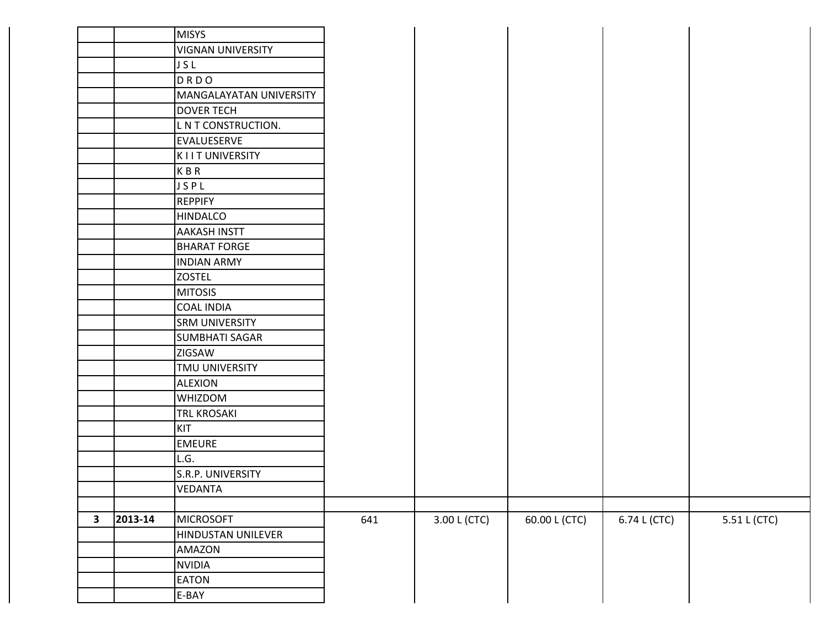|              |         | <b>MISYS</b>              |     |              |               |              |              |
|--------------|---------|---------------------------|-----|--------------|---------------|--------------|--------------|
|              |         | <b>VIGNAN UNIVERSITY</b>  |     |              |               |              |              |
|              |         | JSL                       |     |              |               |              |              |
|              |         | <b>DRDO</b>               |     |              |               |              |              |
|              |         | MANGALAYATAN UNIVERSITY   |     |              |               |              |              |
|              |         | <b>DOVER TECH</b>         |     |              |               |              |              |
|              |         | L N T CONSTRUCTION.       |     |              |               |              |              |
|              |         | EVALUESERVE               |     |              |               |              |              |
|              |         | <b>KIITUNIVERSITY</b>     |     |              |               |              |              |
|              |         | <b>KBR</b>                |     |              |               |              |              |
|              |         | JSPL                      |     |              |               |              |              |
|              |         | <b>REPPIFY</b>            |     |              |               |              |              |
|              |         | <b>HINDALCO</b>           |     |              |               |              |              |
|              |         | <b>AAKASH INSTT</b>       |     |              |               |              |              |
|              |         | <b>BHARAT FORGE</b>       |     |              |               |              |              |
|              |         | <b>INDIAN ARMY</b>        |     |              |               |              |              |
|              |         | <b>ZOSTEL</b>             |     |              |               |              |              |
|              |         | <b>MITOSIS</b>            |     |              |               |              |              |
|              |         | <b>COAL INDIA</b>         |     |              |               |              |              |
|              |         | <b>SRM UNIVERSITY</b>     |     |              |               |              |              |
|              |         | <b>SUMBHATI SAGAR</b>     |     |              |               |              |              |
|              |         | ZIGSAW                    |     |              |               |              |              |
|              |         | TMU UNIVERSITY            |     |              |               |              |              |
|              |         | <b>ALEXION</b>            |     |              |               |              |              |
|              |         | <b>WHIZDOM</b>            |     |              |               |              |              |
|              |         | <b>TRL KROSAKI</b>        |     |              |               |              |              |
|              |         | KIT                       |     |              |               |              |              |
|              |         | <b>EMEURE</b>             |     |              |               |              |              |
|              |         | L.G.                      |     |              |               |              |              |
|              |         | S.R.P. UNIVERSITY         |     |              |               |              |              |
|              |         | <b>VEDANTA</b>            |     |              |               |              |              |
| $\mathbf{3}$ | 2013-14 | <b>MICROSOFT</b>          | 641 | 3.00 L (CTC) | 60.00 L (CTC) | 6.74 L (CTC) | 5.51 L (CTC) |
|              |         | <b>HINDUSTAN UNILEVER</b> |     |              |               |              |              |
|              |         | AMAZON                    |     |              |               |              |              |
|              |         | <b>NVIDIA</b>             |     |              |               |              |              |
|              |         | EATON                     |     |              |               |              |              |
|              |         | E-BAY                     |     |              |               |              |              |
|              |         |                           |     |              |               |              |              |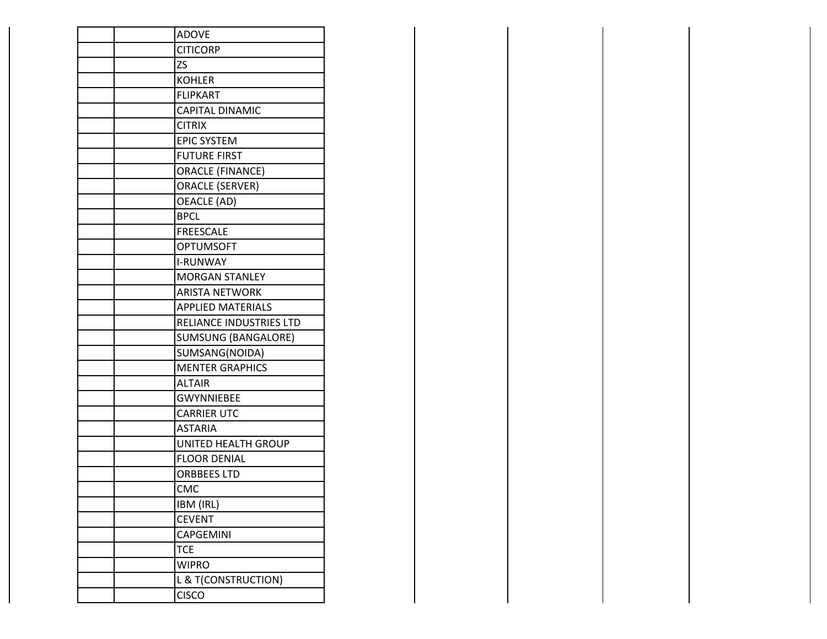| <b>ADOVE</b>                   |
|--------------------------------|
| <b>CITICORP</b>                |
| <b>ZS</b>                      |
| <b>KOHLER</b>                  |
| <b>FLIPKART</b>                |
| <b>CAPITAL DINAMIC</b>         |
| <b>CITRIX</b>                  |
| <b>EPIC SYSTEM</b>             |
| <b>FUTURE FIRST</b>            |
| <b>ORACLE (FINANCE)</b>        |
| <b>ORACLE (SERVER)</b>         |
| <b>OEACLE (AD)</b>             |
| <b>BPCL</b>                    |
| <b>FREESCALE</b>               |
| <b>OPTUMSOFT</b>               |
| <b>I-RUNWAY</b>                |
| <b>MORGAN STANLEY</b>          |
| <b>ARISTA NETWORK</b>          |
| <b>APPLIED MATERIALS</b>       |
| <b>RELIANCE INDUSTRIES LTD</b> |
| SUMSUNG (BANGALORE)            |
| SUMSANG(NOIDA)                 |
| <b>MENTER GRAPHICS</b>         |
| <b>ALTAIR</b>                  |
| <b>GWYNNIEBEE</b>              |
| <b>CARRIER UTC</b>             |
| <b>ASTARIA</b>                 |
| UNITED HEALTH GROUP            |
| <b>FLOOR DENIAL</b>            |
| <b>ORBBEES LTD</b>             |
| CMC                            |
| IBM (IRL)                      |
| <b>CEVENT</b>                  |
| <b>CAPGEMINI</b>               |
| <b>TCE</b>                     |
| <b>WIPRO</b>                   |
| L & T(CONSTRUCTION)            |
| <b>CISCO</b>                   |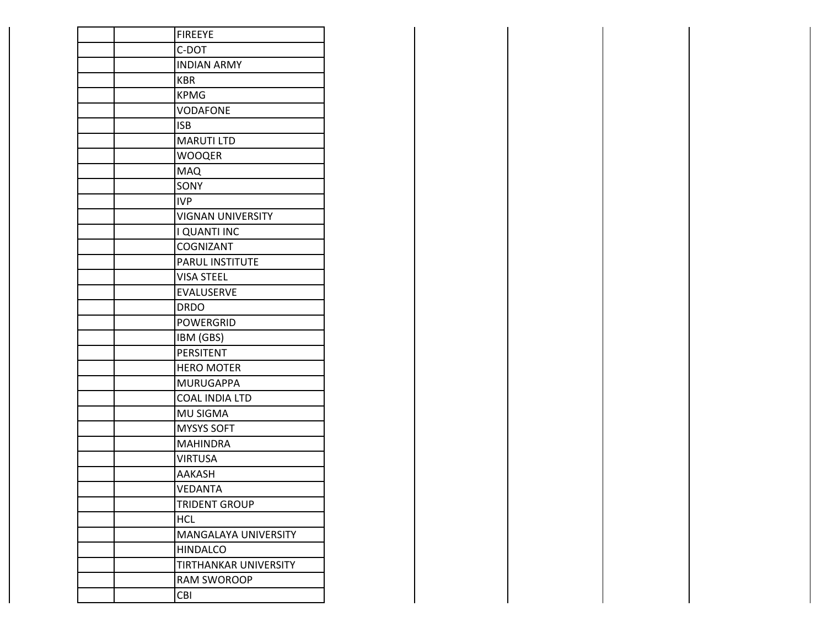| <b>FIREEYE</b>               |
|------------------------------|
| C-DOT                        |
| <b>INDIAN ARMY</b>           |
| <b>KBR</b>                   |
| <b>KPMG</b>                  |
| <b>VODAFONE</b>              |
| <b>ISB</b>                   |
| <b>MARUTI LTD</b>            |
| <b>WOOQER</b>                |
| <b>MAQ</b>                   |
| SONY                         |
| <b>IVP</b>                   |
| <b>VIGNAN UNIVERSITY</b>     |
| I QUANTI INC                 |
| <b>COGNIZANT</b>             |
| PARUL INSTITUTE              |
| <b>VISA STEEL</b>            |
| EVALUSERVE                   |
| <b>DRDO</b>                  |
| <b>POWERGRID</b>             |
| IBM (GBS)                    |
| PERSITENT                    |
| <b>HERO MOTER</b>            |
| <b>MURUGAPPA</b>             |
| <b>COAL INDIA LTD</b>        |
| MU SIGMA                     |
| <b>MYSYS SOFT</b>            |
| <b>MAHINDRA</b>              |
| <b>VIRTUSA</b>               |
| <b>AAKASH</b>                |
| <b>VEDANTA</b>               |
| <b>TRIDENT GROUP</b>         |
| <b>HCL</b>                   |
| MANGALAYA UNIVERSITY         |
| <b>HINDALCO</b>              |
| <b>TIRTHANKAR UNIVERSITY</b> |
| <b>RAM SWOROOP</b>           |
| CBI                          |